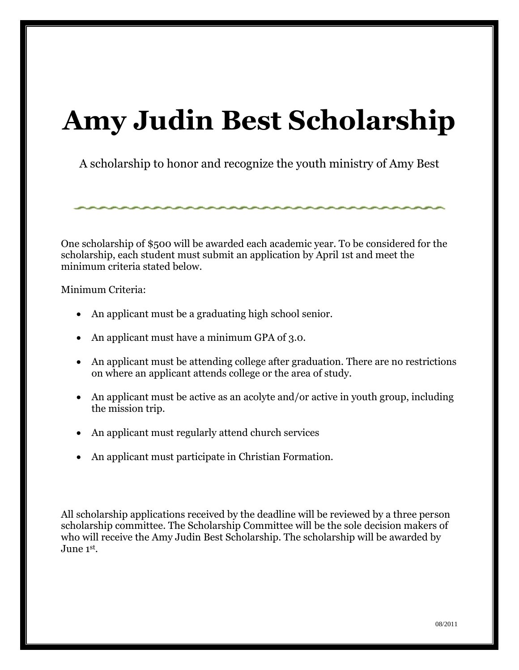### **Amy Judin Best Scholarship**

A scholarship to honor and recognize the youth ministry of Amy Best

One scholarship of \$500 will be awarded each academic year. To be considered for the scholarship, each student must submit an application by April 1st and meet the minimum criteria stated below.

Minimum Criteria:

- An applicant must be a graduating high school senior.
- An applicant must have a minimum GPA of 3.0.
- An applicant must be attending college after graduation. There are no restrictions on where an applicant attends college or the area of study.
- An applicant must be active as an acolyte and/or active in youth group, including the mission trip.
- An applicant must regularly attend church services
- An applicant must participate in Christian Formation.

All scholarship applications received by the deadline will be reviewed by a three person scholarship committee. The Scholarship Committee will be the sole decision makers of who will receive the Amy Judin Best Scholarship. The scholarship will be awarded by June 1st .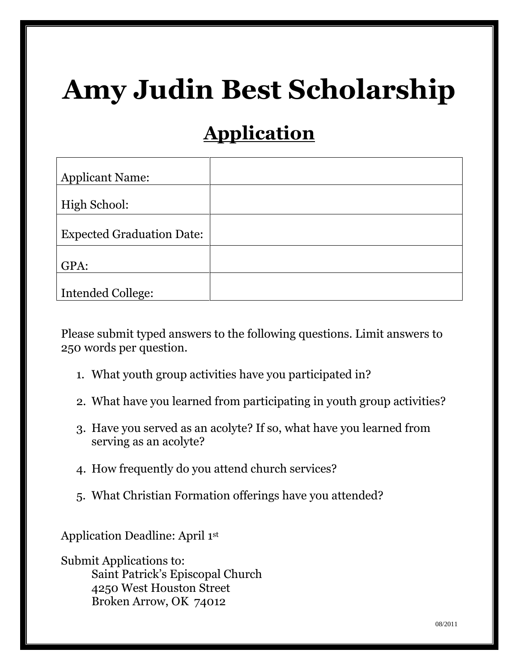# **Amy Judin Best Scholarship**

### **Application**

| <b>Applicant Name:</b>           |  |
|----------------------------------|--|
|                                  |  |
| High School:                     |  |
|                                  |  |
| <b>Expected Graduation Date:</b> |  |
|                                  |  |
| GPA:                             |  |
|                                  |  |
| <b>Intended College:</b>         |  |

Please submit typed answers to the following questions. Limit answers to 250 words per question.

- 1. What youth group activities have you participated in?
- 2. What have you learned from participating in youth group activities?
- 3. Have you served as an acolyte? If so, what have you learned from serving as an acolyte?
- 4. How frequently do you attend church services?
- 5. What Christian Formation offerings have you attended?

Application Deadline: April 1st

Submit Applications to: Saint Patrick's Episcopal Church 4250 West Houston Street Broken Arrow, OK 74012